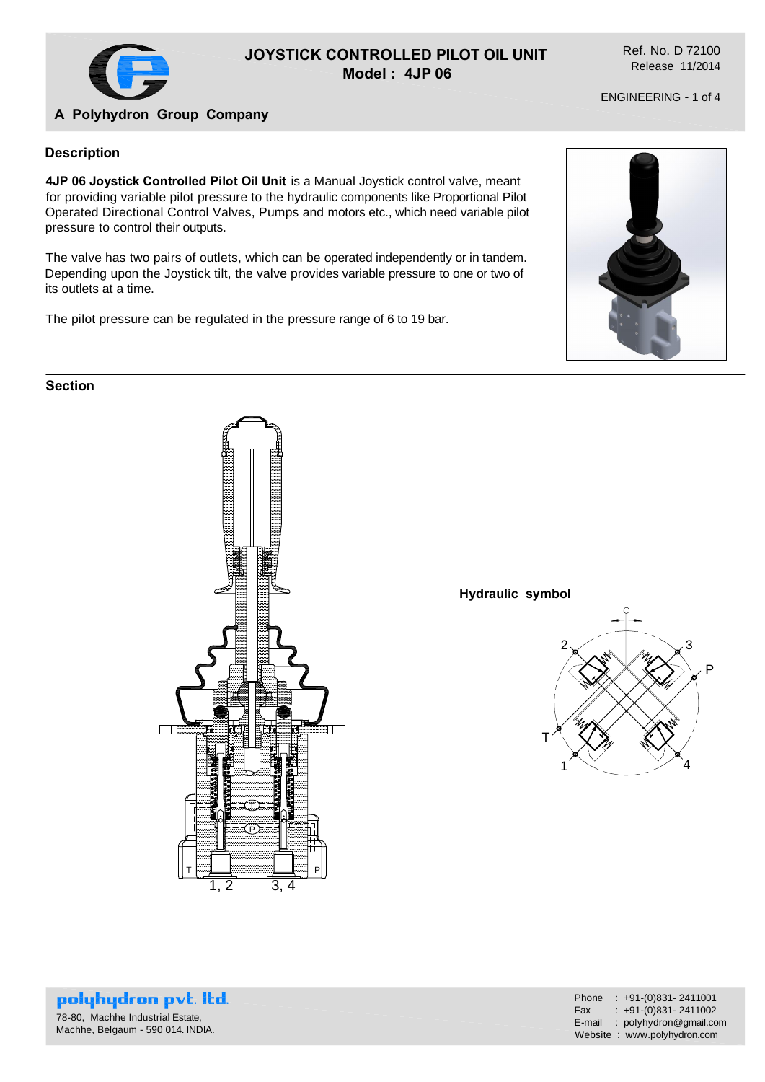

### **JOYSTICK CONTROLLED PILOT OIL UNIT Model : 4JP 06**

Ref. No. D 72100 Release 11/2014

ENGINEERING - 1 of 4

# **A Polyhydron Group Company**

#### **Description**

**4JP 06 Joystick Controlled Pilot Oil Unit** is a Manual Joystick control valve, meant for providing variable pilot pressure to the hydraulic components like Proportional Pilot Operated Directional Control Valves, Pumps and motors etc., which need variable pilot pressure to control their outputs.

The valve has two pairs of outlets, which can be operated independently or in tandem. Depending upon the Joystick tilt, the valve provides variable pressure to one or two of its outlets at a time.

The pilot pressure can be regulated in the pressure range of 6 to 19 bar.



#### **Section**



**Hydraulic symbol**



polyhydron pvt. Itd. 78-80, Machhe Industrial Estate, Machhe, Belgaum - 590 014. INDIA.

| Phone  | $: +91-(0)831 - 2411001$    |
|--------|-----------------------------|
| Fax    | $: +91-(0)831 - 2411002$    |
| E-mail | : polyhydron@gmail.com      |
|        | Website: www.polyhydron.com |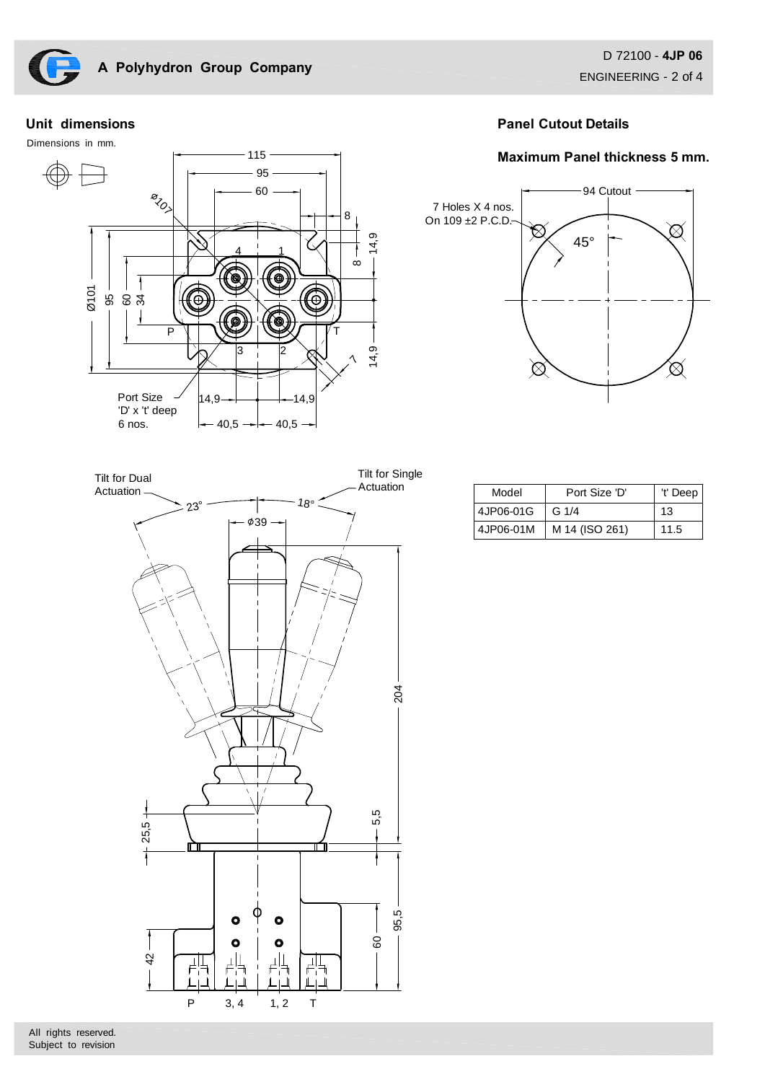

#### **Unit dimensions**

Dimensions in mm.



## **Panel Cutout Details**

### **Maximum Panel thickness 5 mm.**





| Model     | Port Size 'D'  | 't' Deep |
|-----------|----------------|----------|
| 4JP06-01G | G $1/4$        | 13       |
| 4JP06-01M | M 14 (ISO 261) | 11.5     |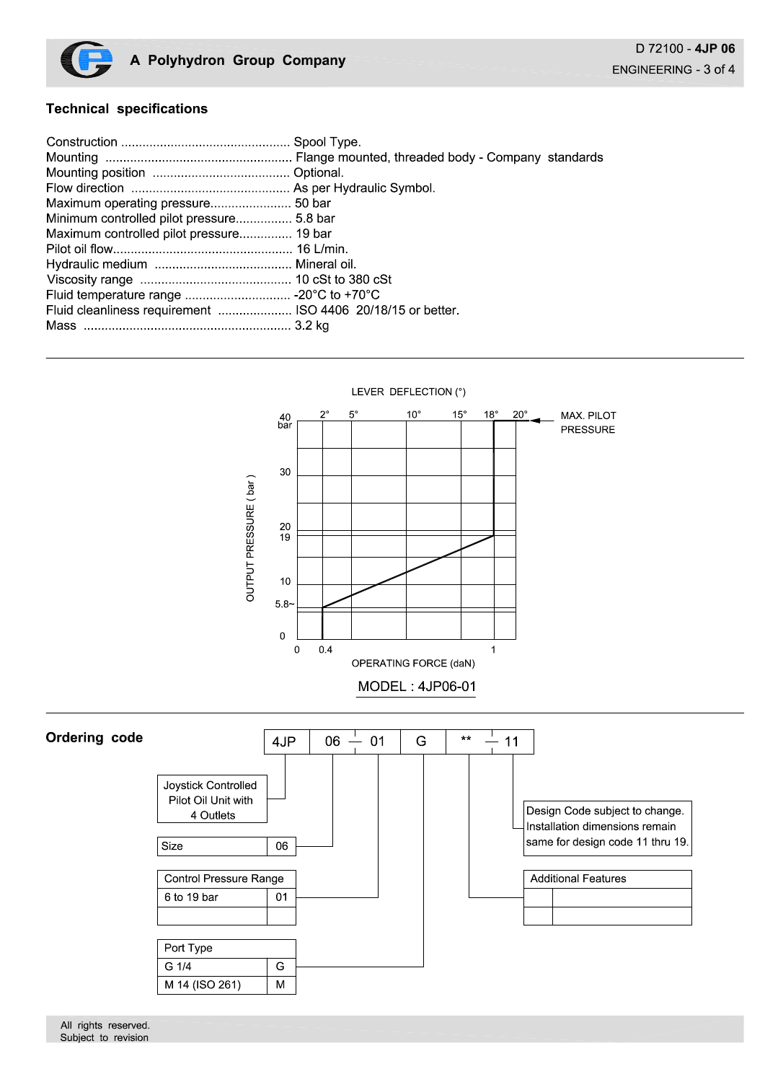

## **Technical specifications**

| Minimum controlled pilot pressure 5.8 bar                   |  |
|-------------------------------------------------------------|--|
| Maximum controlled pilot pressure 19 bar                    |  |
|                                                             |  |
|                                                             |  |
|                                                             |  |
|                                                             |  |
| Fluid cleanliness requirement  ISO 4406 20/18/15 or better. |  |
|                                                             |  |
|                                                             |  |